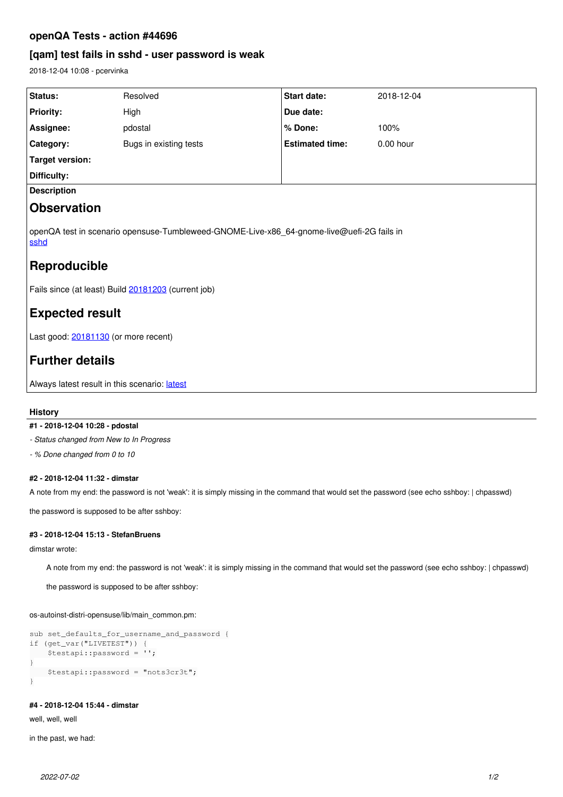# **openQA Tests - action #44696**

# **[qam] test fails in sshd - user password is weak**

2018-12-04 10:08 - pcervinka

| Status:                                                                                           | Resolved               | <b>Start date:</b>     | 2018-12-04  |
|---------------------------------------------------------------------------------------------------|------------------------|------------------------|-------------|
| <b>Priority:</b>                                                                                  | High                   | Due date:              |             |
| Assignee:                                                                                         | pdostal                | % Done:                | 100%        |
| Category:                                                                                         | Bugs in existing tests | <b>Estimated time:</b> | $0.00$ hour |
| <b>Target version:</b>                                                                            |                        |                        |             |
| Difficulty:                                                                                       |                        |                        |             |
| <b>Description</b>                                                                                |                        |                        |             |
| <b>Observation</b>                                                                                |                        |                        |             |
| openQA test in scenario opensuse-Tumbleweed-GNOME-Live-x86_64-gnome-live@uefi-2G fails in<br>sshd |                        |                        |             |
| Reproducible                                                                                      |                        |                        |             |
| Fails since (at least) Build 20181203 (current job)                                               |                        |                        |             |
| <b>Expected result</b>                                                                            |                        |                        |             |
| Last good: 20181130 (or more recent)                                                              |                        |                        |             |
| <b>Further details</b>                                                                            |                        |                        |             |
| Always latest result in this scenario: latest                                                     |                        |                        |             |

## **History**

### **#1 - 2018-12-04 10:28 - pdostal**

*- Status changed from New to In Progress*

*- % Done changed from 0 to 10*

### **#2 - 2018-12-04 11:32 - dimstar**

A note from my end: the password is not 'weak': it is simply missing in the command that would set the password (see echo sshboy: | chpasswd)

the password is supposed to be after sshboy:

### **#3 - 2018-12-04 15:13 - StefanBruens**

dimstar wrote:

A note from my end: the password is not 'weak': it is simply missing in the command that would set the password (see echo sshboy: | chpasswd)

the password is supposed to be after sshboy:

os-autoinst-distri-opensuse/lib/main\_common.pm:

```
sub set_defaults_for_username_and_password {
if (get_var("LIVETEST")) {
        $testapi::password = '';
}
        $testapi::password = "nots3cr3t";
}
```
## **#4 - 2018-12-04 15:44 - dimstar**

well, well, well

in the past, we had: